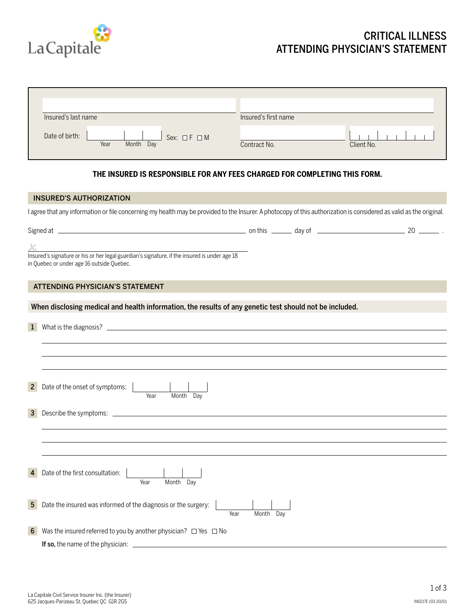

## CRITICAL ILLNESS ATTENDING PHYSICIAN'S STATEMENT

| Insured's last name                                         | Insured's first name       |
|-------------------------------------------------------------|----------------------------|
| Date of birth:<br>Sex: $\Box F \Box M$<br>Year<br>Month Day | Client No.<br>Contract No. |

## **THE INSURED IS RESPONSIBLE FOR ANY FEES CHARGED FOR COMPLETING THIS FORM.**

| <b>INSURED'S AUTHORIZATION</b>                                                                                                                                      |                   |  |
|---------------------------------------------------------------------------------------------------------------------------------------------------------------------|-------------------|--|
| I agree that any information or file concerning my health may be provided to the Insurer. A photocopy of this authorization is considered as valid as the original. |                   |  |
|                                                                                                                                                                     |                   |  |
|                                                                                                                                                                     |                   |  |
| Insured's signature or his or her legal guardian's signature, if the insured is under age 18<br>in Quebec or under age 16 outside Quebec.                           |                   |  |
| <b>ATTENDING PHYSICIAN'S STATEMENT</b>                                                                                                                              |                   |  |
| When disclosing medical and health information, the results of any genetic test should not be included.                                                             |                   |  |
|                                                                                                                                                                     |                   |  |
| $\mathbf{1}$                                                                                                                                                        |                   |  |
|                                                                                                                                                                     |                   |  |
|                                                                                                                                                                     |                   |  |
| Date of the onset of symptoms:<br>$\overline{2}$<br>Month Day<br>Year                                                                                               |                   |  |
| $\mathbf{3}$                                                                                                                                                        |                   |  |
|                                                                                                                                                                     |                   |  |
|                                                                                                                                                                     |                   |  |
|                                                                                                                                                                     |                   |  |
| Date of the first consultation:<br>$\overline{4}$                                                                                                                   |                   |  |
| Month Day<br>Year                                                                                                                                                   |                   |  |
| Date the insured was informed of the diagnosis or the surgery:<br>$5^{\circ}$                                                                                       |                   |  |
|                                                                                                                                                                     | Year<br>Month Dav |  |
| Was the insured referred to you by another physician? $\Box$ Yes $\Box$ No<br>6                                                                                     |                   |  |
|                                                                                                                                                                     |                   |  |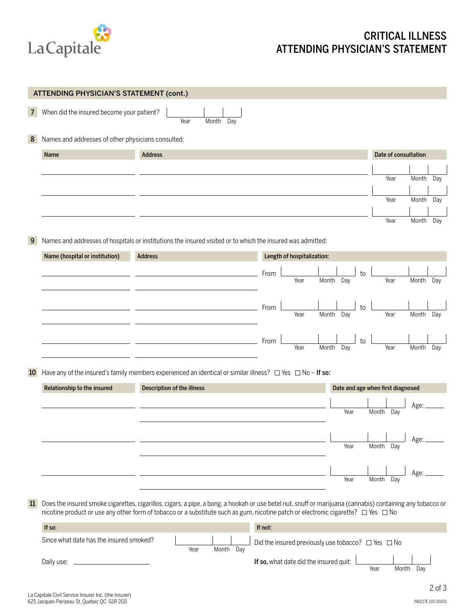

## CRITICAL ILLNESS ATTENDING PHYSICIAN'S STATEMENT

|                | ATTENDING PHYSICIAN'S STATEMENT (cont.)            |                                                                                                                     |                              |      |                                   |           |     |
|----------------|----------------------------------------------------|---------------------------------------------------------------------------------------------------------------------|------------------------------|------|-----------------------------------|-----------|-----|
| $\overline{7}$ | When did the insured become your patient?          | Month Day<br>Year                                                                                                   |                              |      |                                   |           |     |
| 8              | Names and addresses of other physicians consulted: |                                                                                                                     |                              |      |                                   |           |     |
|                | Name                                               | <b>Address</b>                                                                                                      |                              |      | Date of consultation              |           |     |
|                |                                                    |                                                                                                                     |                              |      |                                   |           |     |
|                |                                                    |                                                                                                                     |                              |      | Year                              | Month Day |     |
|                |                                                    |                                                                                                                     |                              |      | Year                              | Month Day |     |
|                |                                                    |                                                                                                                     |                              |      |                                   |           |     |
|                |                                                    |                                                                                                                     |                              |      | Year                              | Month     | Day |
| 9              |                                                    | Names and addresses of hospitals or institutions the insured visited or to which the insured was admitted:          |                              |      |                                   |           |     |
|                | Name (hospital or institution)                     | <b>Address</b>                                                                                                      | Length of hospitalization:   |      |                                   |           |     |
|                |                                                    |                                                                                                                     |                              |      |                                   |           |     |
|                |                                                    |                                                                                                                     | From<br>Year<br>Month<br>Day | to   | Year                              | Month Day |     |
|                |                                                    |                                                                                                                     |                              |      |                                   |           |     |
|                |                                                    |                                                                                                                     | From                         | to   |                                   |           |     |
|                |                                                    |                                                                                                                     | Year<br>Day<br>Month         |      | Year                              | Month     | Day |
|                |                                                    |                                                                                                                     |                              |      |                                   |           |     |
|                |                                                    |                                                                                                                     | From<br>Year<br>Month<br>Day | to   | Year                              | Month     | Day |
|                |                                                    |                                                                                                                     |                              |      |                                   |           |     |
| 10             |                                                    | Have any of the insured's family members experienced an identical or similar illness? $\Box$ Yes $\Box$ No - If so: |                              |      |                                   |           |     |
|                | Relationship to the insured                        | Description of the illness                                                                                          |                              |      | Date and age when first diagnosed |           |     |
|                |                                                    |                                                                                                                     |                              |      |                                   | Age:      |     |
|                |                                                    |                                                                                                                     |                              | Year | Month Day                         |           |     |
|                |                                                    |                                                                                                                     |                              |      | and the state of the state of the |           |     |
|                |                                                    |                                                                                                                     |                              | Year | Month Day                         | Age:      |     |
|                |                                                    |                                                                                                                     |                              |      |                                   |           |     |
|                |                                                    |                                                                                                                     |                              |      |                                   | Age:      |     |
|                |                                                    |                                                                                                                     |                              | Year | Month Day                         |           |     |
|                |                                                    |                                                                                                                     |                              |      |                                   |           |     |

11 Does the insured smoke cigarettes, cigarillos, cigars, a pipe, a bong, a hookah or use betel nut, snuff or marijuana (cannabis) containing any tobacco or nicotine product or use any other form of tobacco or a substitute such as gum, nicotine patch or electronic cigarette?  $\Box$  Yes  $\Box$  No

| If so:                                  |      |              | If not:                                                        |
|-----------------------------------------|------|--------------|----------------------------------------------------------------|
| Since what date has the insured smoked? | Year | Month<br>Dav | Did the insured previously use tobacco? $\Box$ Yes $\Box$ No   |
| Daily use:                              |      |              | If so, what date did the insured quit:<br>Year<br>Dav<br>Month |